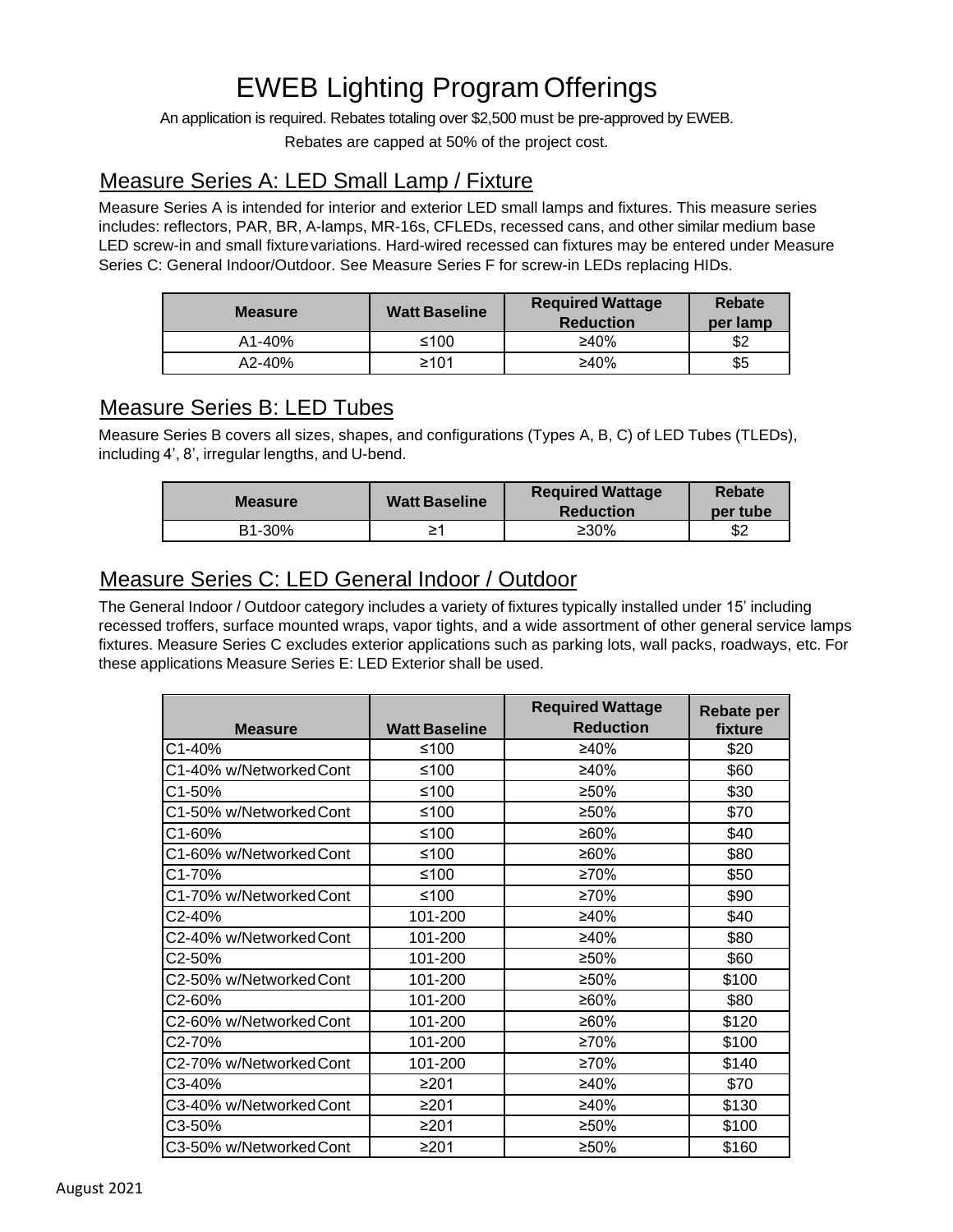# EWEB Lighting Program Offerings

An application is required. Rebates totaling over \$2,500 must be pre-approved by EWEB.

Rebates are capped at 50% of the project cost.

## Measure Series A: LED Small Lamp / Fixture

Measure Series A is intended for interior and exterior LED small lamps and fixtures. This measure series includes: reflectors, PAR, BR, A-lamps, MR-16s, CFLEDs, recessed cans, and other similar medium base LED screw-in and small fixturevariations. Hard-wired recessed can fixtures may be entered under Measure Series C: General Indoor/Outdoor. See Measure Series F for screw-in LEDs replacing HIDs.

| <b>Measure</b> | <b>Watt Baseline</b> | <b>Required Wattage</b><br><b>Reduction</b> | Rebate<br>per lamp |
|----------------|----------------------|---------------------------------------------|--------------------|
| $A1 - 40%$     | ≤100                 | ≥40%                                        | \$2                |
| $A2 - 40%$     | ≥101                 | ≥40%                                        | \$5                |

## Measure Series B: LED Tubes

Measure Series B covers all sizes, shapes, and configurations (Types A, B, C) of LED Tubes (TLEDs), including 4', 8', irregular lengths, and U-bend.

| <b>Measure</b> | <b>Watt Baseline</b> | <b>Required Wattage</b><br><b>Reduction</b> | Rebate<br>per tube |
|----------------|----------------------|---------------------------------------------|--------------------|
| B1-30%         | ≥′                   | ≥30%                                        | \$2                |

## Measure Series C: LED General Indoor / Outdoor

The General Indoor / Outdoor category includes a variety of fixtures typically installed under 15' including recessed troffers, surface mounted wraps, vapor tights, and a wide assortment of other general service lamps fixtures. Measure Series C excludes exterior applications such as parking lots, wall packs, roadways, etc. For these applications Measure Series E: LED Exterior shall be used.

| <b>Measure</b>          | <b>Watt Baseline</b> | <b>Required Wattage</b><br><b>Reduction</b> | <b>Rebate per</b><br>fixture |
|-------------------------|----------------------|---------------------------------------------|------------------------------|
| C1-40%                  | ≤100                 | ≥40%                                        | \$20                         |
| C1-40% w/Networked Cont | ≤100                 | ≥40%                                        | \$60                         |
| C1-50%                  | ≤100                 | ≥50%                                        | \$30                         |
| C1-50% w/Networked Cont | ≤100                 | ≥50%                                        | \$70                         |
| C1-60%                  | ≤100                 | ≥60%                                        | \$40                         |
| C1-60% w/Networked Cont | ≤100                 | ≥60%                                        | \$80                         |
| C1-70%                  | ≤100                 | ≥70%                                        | \$50                         |
| C1-70% w/Networked Cont | ≤100                 | ≥70%                                        | \$90                         |
| C2-40%                  | 101-200              | ≥40%                                        | \$40                         |
| C2-40% w/Networked Cont | 101-200              | ≥40%                                        | \$80                         |
| C2-50%                  | 101-200              | ≥50%                                        | \$60                         |
| C2-50% w/Networked Cont | 101-200              | ≥50%                                        | \$100                        |
| C2-60%                  | 101-200              | ≥60%                                        | \$80                         |
| C2-60% w/Networked Cont | 101-200              | ≥60%                                        | \$120                        |
| C2-70%                  | 101-200              | ≥70%                                        | \$100                        |
| C2-70% w/NetworkedCont  | 101-200              | ≥70%                                        | \$140                        |
| C3-40%                  | ≥201                 | ≥40%                                        | \$70                         |
| C3-40% w/Networked Cont | ≥201                 | ≥40%                                        | \$130                        |
| C3-50%                  | ≥201                 | ≥50%                                        | \$100                        |
| C3-50% w/Networked Cont | ≥201                 | ≥50%                                        | \$160                        |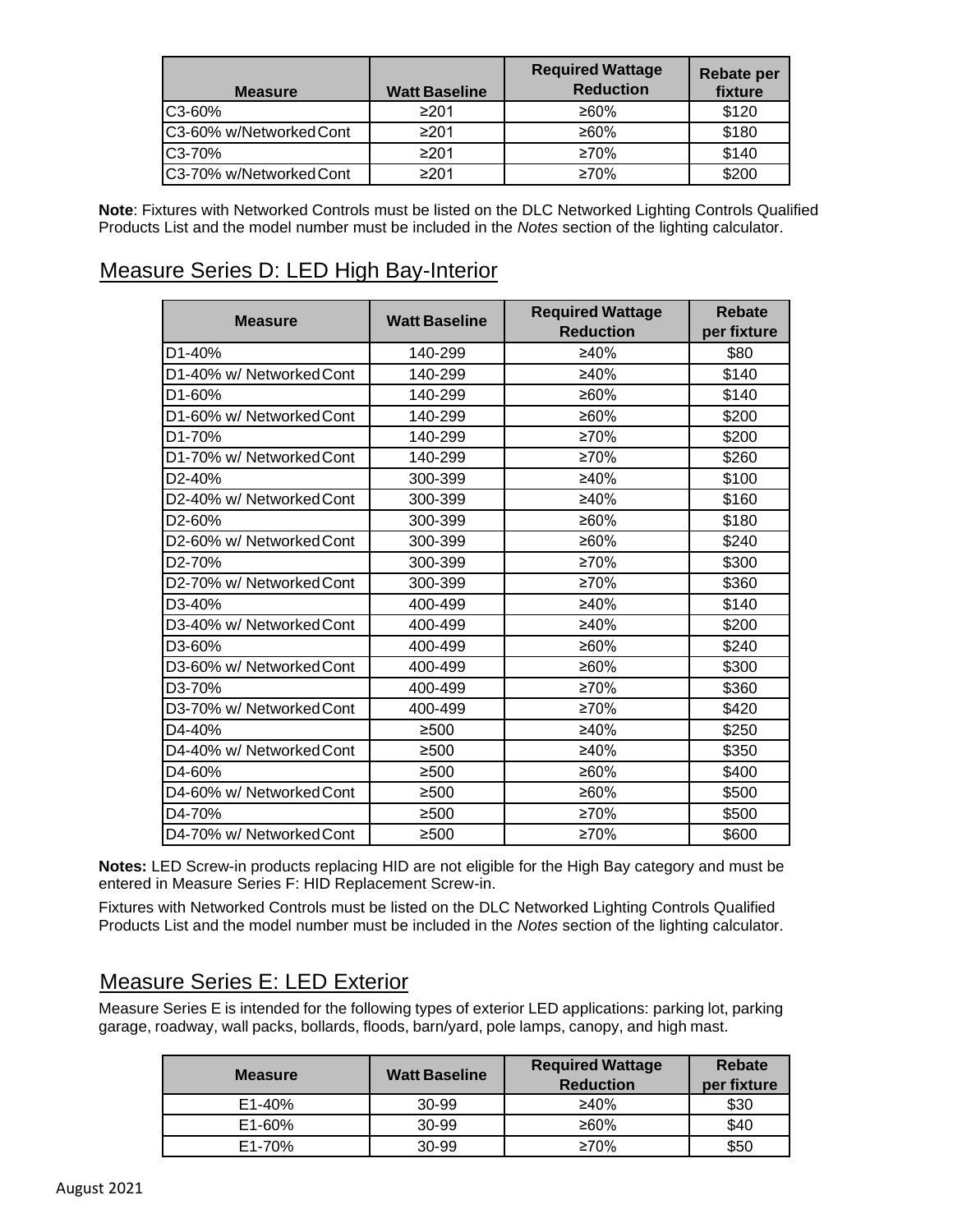| <b>Measure</b>          | <b>Watt Baseline</b> | <b>Required Wattage</b><br><b>Reduction</b> | <b>Rebate per</b><br>fixture |
|-------------------------|----------------------|---------------------------------------------|------------------------------|
| C3-60%                  | ≥201                 | ≥60%                                        | \$120                        |
| C3-60% w/Networked Cont | ≥201                 | ≥60%                                        | \$180                        |
| C3-70%                  | ≥201                 | $\geq 70\%$                                 | \$140                        |
| C3-70% w/Networked Cont | ≥201                 | $\geq 70\%$                                 | \$200                        |

**Note**: Fixtures with Networked Controls must be listed on the DLC Networked Lighting Controls Qualified Products List and the model number must be included in the *Notes* section of the lighting calculator.

## Measure Series D: LED High Bay-Interior

| <b>Measure</b>           | <b>Watt Baseline</b> | <b>Required Wattage</b> | <b>Rebate</b> |
|--------------------------|----------------------|-------------------------|---------------|
|                          |                      | <b>Reduction</b>        | per fixture   |
| D <sub>1</sub> -40%      | 140-299              | ≥40%                    | \$80          |
| D1-40% w/ Networked Cont | 140-299              | ≥40%                    | \$140         |
| D <sub>1</sub> -60%      | 140-299              | ≥60%                    | \$140         |
| D1-60% w/ Networked Cont | 140-299              | ≥60%                    | \$200         |
| D1-70%                   | 140-299              | ≥70%                    | \$200         |
| D1-70% w/ Networked Cont | 140-299              | ≥70%                    | \$260         |
| D <sub>2</sub> -40%      | 300-399              | ≥40%                    | \$100         |
| D2-40% w/ Networked Cont | 300-399              | ≥40%                    | \$160         |
| D <sub>2</sub> -60%      | 300-399              | ≥60%                    | \$180         |
| D2-60% w/ Networked Cont | 300-399              | ≥60%                    | \$240         |
| D <sub>2</sub> -70%      | 300-399              | ≥70%                    | \$300         |
| D2-70% w/ Networked Cont | 300-399              | $\geq 70\%$             | \$360         |
| D <sub>3</sub> -40%      | 400-499              | ≥40%                    | \$140         |
| D3-40% w/ Networked Cont | 400-499              | ≥40%                    | \$200         |
| D3-60%                   | 400-499              | ≥60%                    | \$240         |
| D3-60% w/ Networked Cont | 400-499              | ≥60%                    | \$300         |
| D <sub>3</sub> -70%      | 400-499              | ≥70%                    | \$360         |
| D3-70% w/ Networked Cont | 400-499              | ≥70%                    | \$420         |
| D4-40%                   | ≥500                 | ≥40%                    | \$250         |
| D4-40% w/ Networked Cont | ≥500                 | ≥40%                    | \$350         |
| D4-60%                   | ≥500                 | ≥60%                    | \$400         |
| D4-60% w/ Networked Cont | ≥500                 | ≥60%                    | \$500         |
| D4-70%                   | ≥500                 | $\geq 70\%$             | \$500         |
| D4-70% w/ Networked Cont | ≥500                 | ≥70%                    | \$600         |

**Notes:** LED Screw-in products replacing HID are not eligible for the High Bay category and must be entered in Measure Series F: HID Replacement Screw-in.

Fixtures with Networked Controls must be listed on the DLC Networked Lighting Controls Qualified Products List and the model number must be included in the *Notes* section of the lighting calculator.

## Measure Series E: LED Exterior

Measure Series E is intended for the following types of exterior LED applications: parking lot, parking garage, roadway, wall packs, bollards, floods, barn/yard, pole lamps, canopy, and high mast.

| <b>Measure</b> | <b>Watt Baseline</b> | <b>Required Wattage</b><br><b>Reduction</b> | <b>Rebate</b><br>per fixture |
|----------------|----------------------|---------------------------------------------|------------------------------|
| $E1 - 40%$     | 30-99                | ≥40%                                        | \$30                         |
| $E1 - 60%$     | 30-99                | ≥60%                                        | \$40                         |
| E1-70%         | 30-99                | $\geq 70\%$                                 | \$50                         |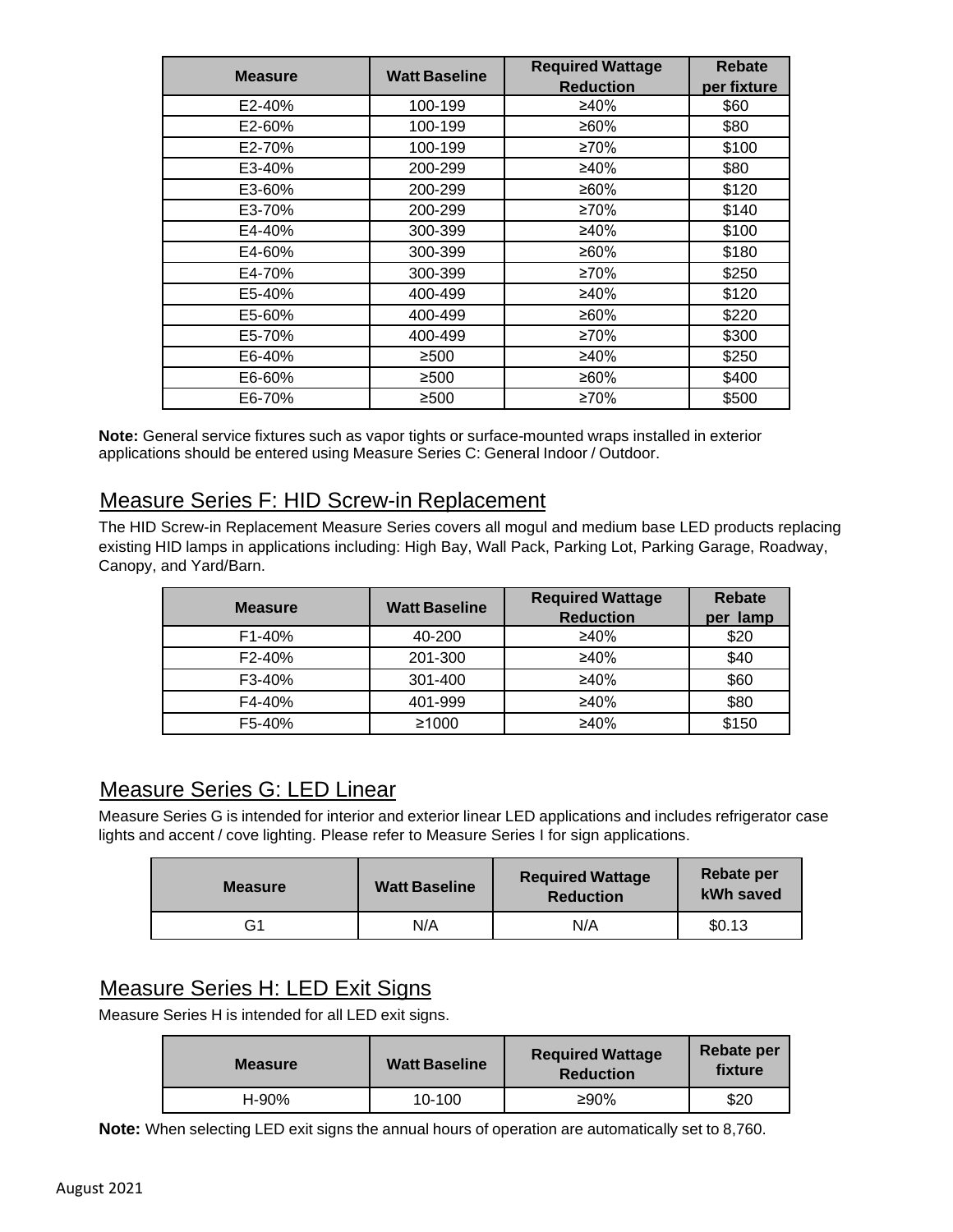| <b>Measure</b> | <b>Watt Baseline</b> | <b>Required Wattage</b> | <b>Rebate</b> |
|----------------|----------------------|-------------------------|---------------|
|                |                      | <b>Reduction</b>        | per fixture   |
| E2-40%         | 100-199              | ≥40%                    | \$60          |
| E2-60%         | 100-199              | ≥60%                    | \$80          |
| E2-70%         | 100-199              | ≥70%                    | \$100         |
| E3-40%         | 200-299              | ≥40%                    | \$80          |
| E3-60%         | 200-299              | ≥60%                    | \$120         |
| E3-70%         | 200-299              | ≥70%                    | \$140         |
| E4-40%         | 300-399              | ≥40%                    | \$100         |
| E4-60%         | 300-399              | ≥60%                    | \$180         |
| E4-70%         | 300-399              | ≥70%                    | \$250         |
| E5-40%         | 400-499              | ≥40%                    | \$120         |
| E5-60%         | 400-499              | ≥60%                    | \$220         |
| E5-70%         | 400-499              | ≥70%                    | \$300         |
| E6-40%         | ≥500                 | ≥40%                    | \$250         |
| E6-60%         | ≥500                 | ≥60%                    | \$400         |
| E6-70%         | ≥500                 | ≥70%                    | \$500         |

**Note:** General service fixtures such as vapor tights or surface-mounted wraps installed in exterior applications should be entered using Measure Series C: General Indoor / Outdoor.

### Measure Series F: HID Screw-in Replacement

The HID Screw-in Replacement Measure Series covers all mogul and medium base LED products replacing existing HID lamps in applications including: High Bay, Wall Pack, Parking Lot, Parking Garage, Roadway, Canopy, and Yard/Barn.

| <b>Measure</b> | <b>Watt Baseline</b> | <b>Required Wattage</b> | <b>Rebate</b> |
|----------------|----------------------|-------------------------|---------------|
|                |                      | <b>Reduction</b>        | per lamp      |
| $F1 - 40%$     | 40-200               | ≥40%                    | \$20          |
| F2-40%         | 201-300              | ≥40%                    | \$40          |
| F3-40%         | 301-400              | $\geq 40\%$             | \$60          |
| F4-40%         | 401-999              | ≥40%                    | \$80          |
| F5-40%         | ≥1000                | ≥40%                    | \$150         |

## Measure Series G: LED Linear

Measure Series G is intended for interior and exterior linear LED applications and includes refrigerator case lights and accent / cove lighting. Please refer to Measure Series I for sign applications.

| <b>Measure</b> | <b>Watt Baseline</b> | <b>Required Wattage</b><br><b>Reduction</b> | Rebate per<br>kWh saved |
|----------------|----------------------|---------------------------------------------|-------------------------|
| G1             | N/A                  | N/A                                         | \$0.13                  |

## Measure Series H: LED Exit Signs

Measure Series H is intended for all LED exit signs.

| <b>Measure</b> | <b>Watt Baseline</b> | <b>Required Wattage</b><br><b>Reduction</b> | Rebate per<br>fixture |
|----------------|----------------------|---------------------------------------------|-----------------------|
| H-90%          | $10 - 100$           | ≥90%                                        | \$20                  |

**Note:** When selecting LED exit signs the annual hours of operation are automatically set to 8,760.